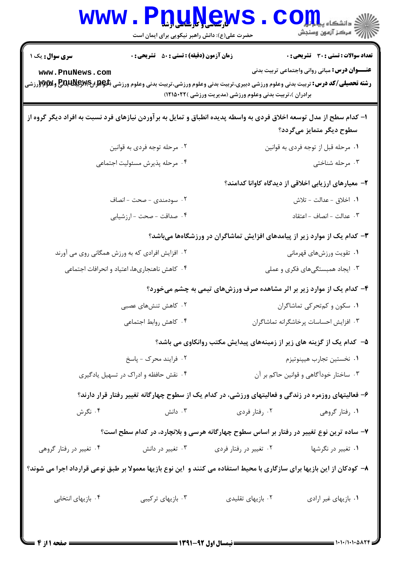| سری سوال: یک ۱                                                                                                         | <b>زمان آزمون (دقیقه) : تستی : 50 ٪ تشریحی : 0</b>                                                  |                                                                                                                                                                                                                                                                                                                                                                      | <b>تعداد سوالات : تستی : 30 ٪ تشریحی : 0</b>                              |  |
|------------------------------------------------------------------------------------------------------------------------|-----------------------------------------------------------------------------------------------------|----------------------------------------------------------------------------------------------------------------------------------------------------------------------------------------------------------------------------------------------------------------------------------------------------------------------------------------------------------------------|---------------------------------------------------------------------------|--|
| www.PnuNews.com                                                                                                        |                                                                                                     | <b>عنـــوان درس:</b> مبانی روانی واجتماعی تربیت بدنی<br><b>رشته تحصیلی/کد درس:</b> تربیت بدنی وعلوم ورزشی دبیری،تربیت بدنی وعلوم ورزشی،تربیت بدنی وعلوم ورزشی (PRA ل <b>PRA ایال بالی است.</b><br>و <b>شته تحصیلی/کد درس:</b> تربیت بدنی وعلوم ورزشی دبیری،تربیت بدنی وعلوم ورزشی،تربیت بدنی وعلوم ورزشی<br>برادران )،تربیت بدنی وعلوم ورزشی (مدیریت ورزشی )۲۲۱۵۰۲۲) |                                                                           |  |
| ۱– کدام سطح از مدل توسعه اخلاق فردی به واسطه پدیده انطباق و تمایل به برآوردن نیازهای فرد نسبت به افراد دیگر گروه از    |                                                                                                     |                                                                                                                                                                                                                                                                                                                                                                      | سطوح دیگر متمایز میگردد؟                                                  |  |
|                                                                                                                        | ۰۲ مرحله توجه فردي به قوانين                                                                        |                                                                                                                                                                                                                                                                                                                                                                      | ٠١ مرحله قبل از توجه فردي به قوانين                                       |  |
| ۰۴ مرحله پذیرش مسئولیت اجتماعی                                                                                         |                                                                                                     | ۰۳ مرحله شناختی                                                                                                                                                                                                                                                                                                                                                      |                                                                           |  |
|                                                                                                                        |                                                                                                     |                                                                                                                                                                                                                                                                                                                                                                      | ۲– معیارهای ارزیابی اخلاقی از دیدگاه کاوانا کدامند؟                       |  |
| ٢. سودمندى - صحت - انصاف                                                                                               |                                                                                                     |                                                                                                                                                                                                                                                                                                                                                                      | <b>۱.</b> اخلاق - عدالت - تلاش                                            |  |
| ۴. صداقت - صحت - ارزشیابی                                                                                              |                                                                                                     | ۰۳ عدالت - انصاف - اعتقاد                                                                                                                                                                                                                                                                                                                                            |                                                                           |  |
|                                                                                                                        |                                                                                                     |                                                                                                                                                                                                                                                                                                                                                                      | ۳- کدام یک از موارد زیر از پیامدهای افزایش تماشاگران در ورزشگاهها میباشد؟ |  |
| ۲. افزایش افرادی که به ورزش همگانی روی می آورند                                                                        |                                                                                                     | ۰۱ تقویت ورزشهای قهرمانی                                                                                                                                                                                                                                                                                                                                             |                                                                           |  |
|                                                                                                                        | ۰۴ کاهش ناهنجاریها، اعتیاد و انحرافات اجتماعی                                                       | ۰۳ ایجاد همبستگیهای فکری و عملی                                                                                                                                                                                                                                                                                                                                      |                                                                           |  |
|                                                                                                                        |                                                                                                     |                                                                                                                                                                                                                                                                                                                                                                      | ۴- کدام یک از موارد زیر بر اثر مشاهده صرف ورزشهای تیمی به چشم میخورد؟     |  |
| ۰۲ کاهش تنشهای عصبی                                                                                                    |                                                                                                     | ٠١ سكون و كم تحركي تماشاكران                                                                                                                                                                                                                                                                                                                                         |                                                                           |  |
|                                                                                                                        | ۰۴ کاهش روابط اجتماعی<br>۰۳ افزایش احساسات پرخاشگرانه تماشاگران                                     |                                                                                                                                                                                                                                                                                                                                                                      |                                                                           |  |
|                                                                                                                        |                                                                                                     |                                                                                                                                                                                                                                                                                                                                                                      | ۵– کدام یک از گزینه های زیر از زمینههای پیدایش مکتب روانکاوی می باشد؟     |  |
| ٢. فرايند محرک - ياسخ                                                                                                  |                                                                                                     | ٠١ نخستين تجارب هيپنوتيزم                                                                                                                                                                                                                                                                                                                                            |                                                                           |  |
|                                                                                                                        | ۰۳ ساختار خودآگاهی و قوانین حاکم بر آن<br>۰۴ نقش حافظه و ادراک در تسهیل یادگیری                     |                                                                                                                                                                                                                                                                                                                                                                      |                                                                           |  |
|                                                                                                                        | ۶- فعالیتهای روزمره در زندگی و فعالیتهای ورزشی، در کدام یک از سطوح چهارگانه تغییر رفتار قرار دارند؟ |                                                                                                                                                                                                                                                                                                                                                                      |                                                                           |  |
| ۰۴ نگرش                                                                                                                | دانش $\cdot$ ۳ .                                                                                    | ۰۲ رفتار فردي                                                                                                                                                                                                                                                                                                                                                        | ۰۱ رفتار گروهی                                                            |  |
|                                                                                                                        | ۷– ساده ترین نوع تغییر در رفتار بر اساس سطوح چهارگانه هرسی و بلانچارد، در کدام سطح است؟             |                                                                                                                                                                                                                                                                                                                                                                      |                                                                           |  |
| ۰۴ تغییر در رفتار گروهی                                                                                                | ۰۳ تغییر در دانش                                                                                    | ۰۲ تغییر در رفتار فردی                                                                                                                                                                                                                                                                                                                                               | ۰۱ تغییر در نگرشها                                                        |  |
| ۸– کودکان از این بازیها برای سازگاری با محیط استفاده می کنند و آین نوع بازیها معمولا بر طبق نوعی قرارداد اجرا می شوند؟ |                                                                                                     |                                                                                                                                                                                                                                                                                                                                                                      |                                                                           |  |
| ۰۴ بازیهای انتخابی                                                                                                     | ۰۳ بازیهای ترکیبی                                                                                   | ۰۲ بازیهای تقلیدی                                                                                                                                                                                                                                                                                                                                                    | ۰۱ بازیهای غیر ارادی                                                      |  |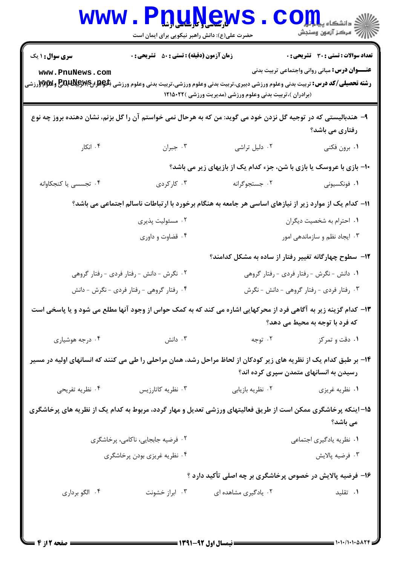|                                                                                                                                                                                   | <b>۷۷ بارستان و باریابی باریاب</b><br>حضرت علی(ع): دانش راهبر نیکویی برای ایمان است |                                                                                                                                                                                                                                                                                                                                                                                                                             | ≦ دانشکاه پ <b>یا ب<sup>ا</sup>¤ر</b><br>رآ مرڪز آزمون وسنڊش                                         |
|-----------------------------------------------------------------------------------------------------------------------------------------------------------------------------------|-------------------------------------------------------------------------------------|-----------------------------------------------------------------------------------------------------------------------------------------------------------------------------------------------------------------------------------------------------------------------------------------------------------------------------------------------------------------------------------------------------------------------------|------------------------------------------------------------------------------------------------------|
| <b>سری سوال : ۱ یک</b><br>www.PnuNews.com<br><b>رشته تحصیلی/کد درس:</b> تربیت بدنی وعلوم ورزشی دبیری،تربیت بدنی وعلوم ورزشی،تربیت بدنی وعلوم ورزشی (PRA انPMS و PRA و WA و WA و ت | <b>زمان آزمون (دقیقه) : تستی : 50 ٪ تشریحی : 0</b>                                  | (برادران )،تربیت بدنی وعلوم ورزشی (مدیریت ورزشی )۱۲۱۵۰۲۲                                                                                                                                                                                                                                                                                                                                                                    | <b>تعداد سوالات : تستی : 30 ٪ تشریحی : 0</b><br><b>عنـــوان درس:</b> مبانی روانی واجتماعی تربیت بدنی |
|                                                                                                                                                                                   |                                                                                     | ۹– هندبالیستی که در توجیه گل نزدن خود می گوید: من که به هرحال نمی خواستم آن را گل بزنم، نشان دهنده بروز چه نوع                                                                                                                                                                                                                                                                                                              | رفتاری می باشد؟                                                                                      |
| ۰۴ انکار                                                                                                                                                                          | ۰۳ جبران                                                                            | ٠٢ دليل تراشى                                                                                                                                                                                                                                                                                                                                                                                                               | ١. برون فكني                                                                                         |
|                                                                                                                                                                                   |                                                                                     | 10- بازی با عروسک یا بازی با شن، جزء کدام یک از بازیهای زیر می باشد؟                                                                                                                                                                                                                                                                                                                                                        |                                                                                                      |
| ۴. تجسسی یا کنجکاوانه                                                                                                                                                             | ۰۳ کارگردی                                                                          | ٠٢ جستجوگرانه                                                                                                                                                                                                                                                                                                                                                                                                               | ۰۱ فونکسیونی                                                                                         |
|                                                                                                                                                                                   |                                                                                     | 11– کدام یک از موارد زیر از نیازهای اساسی هر جامعه به هنگام برخورد با ارتباطات ناسالم اجتماعی می باشد؟                                                                                                                                                                                                                                                                                                                      |                                                                                                      |
|                                                                                                                                                                                   | ۰۲ مسئولیت پذیری                                                                    | ٠١. احترام به شخصيت ديگران                                                                                                                                                                                                                                                                                                                                                                                                  |                                                                                                      |
|                                                                                                                                                                                   | ۰۴ قضاوت و داوری                                                                    | ۰۳ ایجاد نظم و سازماندهی امور                                                                                                                                                                                                                                                                                                                                                                                               |                                                                                                      |
|                                                                                                                                                                                   |                                                                                     | ۱۲- سطوح چهارگانه تغییر رفتار از ساده به مشکل کدامند؟                                                                                                                                                                                                                                                                                                                                                                       |                                                                                                      |
| ۰۲ نگرش - دانش - رفتار فردی - رفتار گروهی                                                                                                                                         |                                                                                     | ۰۱ دانش - نگرش - رفتار فردی - رفتار گروهی                                                                                                                                                                                                                                                                                                                                                                                   |                                                                                                      |
| ۰۴ رفتار گروهی - رفتار فردی - نگرش - دانش                                                                                                                                         |                                                                                     | ۰۳ رفتار فردی - رفتار گروهی - دانش - نگرش                                                                                                                                                                                                                                                                                                                                                                                   |                                                                                                      |
|                                                                                                                                                                                   |                                                                                     | ۱۳- کدام گزینه زیر به آگاهی فرد از محرکهایی اشاره می کند که به کمک حواس از وجود آنها مطلع می شود و یا پاسخی است                                                                                                                                                                                                                                                                                                             | که فرد با توجه به محیط می دهد؟                                                                       |
| ۰۴ درجه هوشیاری                                                                                                                                                                   | دانش $\cdot$ ۳                                                                      | ۰۲ توجه                                                                                                                                                                                                                                                                                                                                                                                                                     | ۰۱ دقت و تمرکز                                                                                       |
| ۱۴– بر طبق کدام یک از نظریه های زیر کودکان از لحاظ مراحل رشد، همان مراحلی را طی می کنند که انسانهای اولیه در مسیر                                                                 |                                                                                     |                                                                                                                                                                                                                                                                                                                                                                                                                             | رسیدن به انسانهای متمدن سپری کرده اند؟                                                               |
| ۰۴ نظریه تفریحی                                                                                                                                                                   | ۰۳ نظریه کاتارزیس                                                                   | ٠٢ نظريه بازيابي                                                                                                                                                                                                                                                                                                                                                                                                            | ۰۱ نظریه غریزی                                                                                       |
| 1۵– اینکه پرخاشگری ممکن است از طریق فعالیتهای ورزشی تعدیل و مهار گردد، مربوط به کدام یک از نظریه های پرخاشگری                                                                     |                                                                                     |                                                                                                                                                                                                                                                                                                                                                                                                                             | می باشد؟                                                                                             |
| ۰۲ فرضیه جابجایی، ناکامی، پرخاشگری                                                                                                                                                |                                                                                     |                                                                                                                                                                                                                                                                                                                                                                                                                             | ۰۱ نظریه یادگیری اجتماعی                                                                             |
| ۰۴ نظریه غریزی بودن پرخاشگری                                                                                                                                                      |                                                                                     |                                                                                                                                                                                                                                                                                                                                                                                                                             | ۰۳ فرضيه پالايش                                                                                      |
|                                                                                                                                                                                   |                                                                                     | ۱۶– فرضیه پالایش در خصوص پرخاشگری بر چه اصلی تأکید دارد ؟                                                                                                                                                                                                                                                                                                                                                                   |                                                                                                      |
| ۰۴ الگو برداری                                                                                                                                                                    | ۰۳ ابراز خشونت                                                                      | ۰۲ یادگیری مشاهده ای                                                                                                                                                                                                                                                                                                                                                                                                        | ۰۱ تقلید                                                                                             |
| <b>: صفحه ۱۲: ۴</b>                                                                                                                                                               |                                                                                     | $\frac{1}{1 + \frac{1}{1 + \frac{1}{1 + \frac{1}{1 + \frac{1}{1 + \frac{1}{1 + \frac{1}{1 + \frac{1}{1 + \frac{1}{1 + \frac{1}{1 + \frac{1}{1 + \frac{1}{1 + \frac{1}{1 + \frac{1}{1 + \frac{1}{1 + \frac{1}{1 + \frac{1}{1 + \frac{1}{1 + \frac{1}{1 + \frac{1}{1 + \frac{1}{1 + \frac{1}{1 + \frac{1}{1 + \frac{1}{1 + \frac{1}{1 + \frac{1}{1 + \frac{1}{1 + \frac{1}{1 + \frac{1}{1 + \frac{1}{1 + \frac{1}{1 + \frac{$ |                                                                                                      |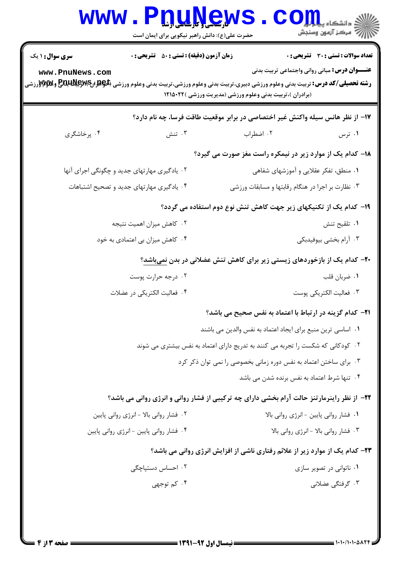| WWW                    | <b>ULUYCW</b><br>حضرت علی(ع): دانش راهبر نیکویی برای ایمان است    |                                                                                                                                                                                                                                                           | د دانشگاه پ <b>یای<mark></mark>!</b><br>رِ آزمون وسنڊش |  |  |
|------------------------|-------------------------------------------------------------------|-----------------------------------------------------------------------------------------------------------------------------------------------------------------------------------------------------------------------------------------------------------|--------------------------------------------------------|--|--|
| <b>سری سوال : ۱ یک</b> | <b>زمان آزمون (دقیقه) : تستی : 50 ٪ تشریحی : 0</b>                |                                                                                                                                                                                                                                                           | تعداد سوالات : تستي : 30 ٪ تشريحي : 0                  |  |  |
| www.PnuNews.com        |                                                                   | <b>عنـــوان درس:</b> مبانی روانی واجتماعی تربیت بدنی<br><b>رشته تحصیلی/کد درس:</b> تربیت بدنی وعلوم ورزشی دبیری،تربیت بدنی وعلوم ورزشی،تربیت بدنی وعلوم ورزشی (PRA لPRA ایPRA و PRA و WSروزشی<br>(برادران )،تربیت بدنی وعلوم ورزشی (مدیریت ورزشی )۲۲۱۵۰۲۲ |                                                        |  |  |
|                        |                                                                   | ۱۷– از نظر هانس سیله واکنش غیر اختصاصی در برابر موقعیت طاقت فرسا، چه نام دارد؟                                                                                                                                                                            |                                                        |  |  |
| ۰۴ پرخاشگری            | ۰۳ تنش                                                            | ۰۲ اضطراب                                                                                                                                                                                                                                                 | ۰۱ ترس                                                 |  |  |
|                        |                                                                   | <b>۱۸</b> - کدام یک از موارد زیر در نیمکره راست مغز صورت می گیرد؟                                                                                                                                                                                         |                                                        |  |  |
|                        | ۰۲ یادگیری مهارتهای جدید و چگونگی اجرای آنها                      |                                                                                                                                                                                                                                                           | ۰۱ منطق، تفکر عقلایی و آموزشهای شفاهی                  |  |  |
|                        | ۰۴ یادگیری مهارتهای جدید و تصحیح اشتباهات                         | ۰۳ نظارت بر اجرا در هنگام رقابتها و مسابقات ورزشی                                                                                                                                                                                                         |                                                        |  |  |
|                        |                                                                   | ۱۹- کدام یک از تکنیکهای زیر جهت کاهش تنش نوع دوم استفاده می گردد؟                                                                                                                                                                                         |                                                        |  |  |
|                        | ۰۲ کاهش میزان اهمیت نتیجه                                         |                                                                                                                                                                                                                                                           | ۰۱ تلقیح تنش                                           |  |  |
|                        | ۰۴ کاهش میزان بی اعتمادی به خود                                   |                                                                                                                                                                                                                                                           | ۰۳ آرام بخشی بیوفیدبکی                                 |  |  |
|                        |                                                                   | <b>۲۰</b> - کدام یک از بازخوردهای زیستی زیر برای کاهش تنش عضلانی در بدن <u>نمیباشد</u> ؟                                                                                                                                                                  |                                                        |  |  |
|                        | ۰۲ درجه حرارت پوست                                                |                                                                                                                                                                                                                                                           | ۰۱ ضربان قلب                                           |  |  |
|                        | ۰۴ فعالیت الکتریکی در عضلات                                       |                                                                                                                                                                                                                                                           | ۰۳ فعالیت الکتریکی پوست                                |  |  |
|                        |                                                                   | <b>۲۱</b> - کدام گزینه در ارتباط با اعتماد به نفس صحیح می باشد؟                                                                                                                                                                                           |                                                        |  |  |
|                        |                                                                   | ۰۱ اساسی ترین منبع برای ایجاد اعتماد به نفس والدین می باشند                                                                                                                                                                                               |                                                        |  |  |
|                        |                                                                   | ۰۲ کودکانی که شکست را تجربه می کنند به تدریج دارای اعتماد به نفس بیشتری می شوند                                                                                                                                                                           |                                                        |  |  |
|                        | ۰۳ برای ساختن اعتماد به نفس دوره زمانی بخصوصی را نمی توان ذکر کرد |                                                                                                                                                                                                                                                           |                                                        |  |  |
|                        |                                                                   |                                                                                                                                                                                                                                                           | ۰۴ تنها شرط اعتماد به نفس برنده شدن می باشد            |  |  |
|                        |                                                                   | ۲۲- از نظر راینرمارتنز حالت آرام بخشی دارای چه ترکیبی از فشار روانی و انرژی روانی می باشد؟                                                                                                                                                                |                                                        |  |  |
|                        | ۰۲ فشار روانی بالا - انرژی روانی پایین                            |                                                                                                                                                                                                                                                           | ٠١ فشار رواني پايين -انرژي رواني بالا                  |  |  |
|                        | ۰۴ فشار روانی پایین - انرژی روانی پایین                           |                                                                                                                                                                                                                                                           | ۰۳ فشار روانی بالا - انرژی روانی بالا                  |  |  |
|                        |                                                                   | ۲۳- کدام یک از موارد زیر از علائم رفتاری ناشی از افزایش انرژی روانی می باشد؟                                                                                                                                                                              |                                                        |  |  |
|                        | ۰۲ احساس دستیاچگی                                                 |                                                                                                                                                                                                                                                           | ۰۱ ناتوانی در تصویر سازی                               |  |  |
|                        | ۰۴ کم توجهي                                                       |                                                                                                                                                                                                                                                           | ۰۳ گرفتگی عضلانی                                       |  |  |
|                        |                                                                   |                                                                                                                                                                                                                                                           |                                                        |  |  |
|                        |                                                                   |                                                                                                                                                                                                                                                           |                                                        |  |  |